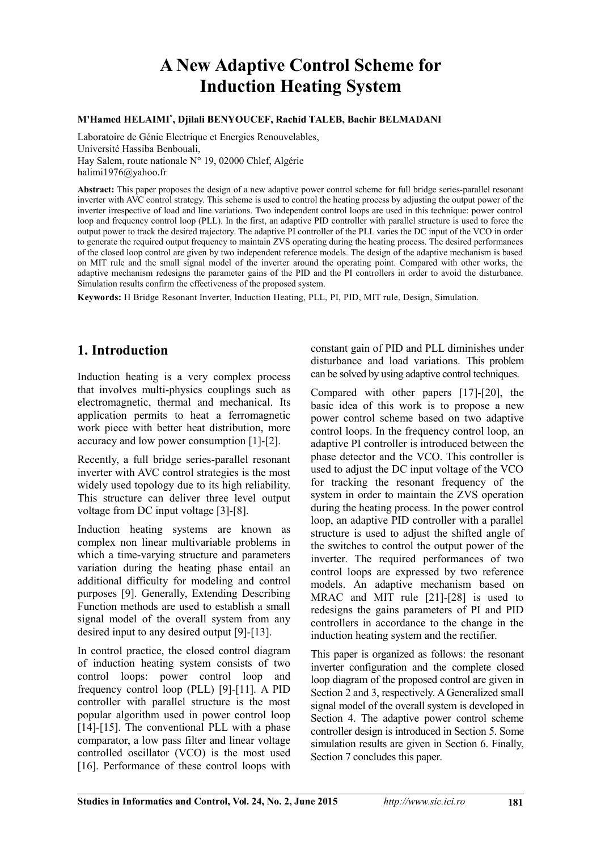# **A New Adaptive Control Scheme for Induction Heating System**

#### **M'Hamed HELAIMI\* , Djilali BENYOUCEF, Rachid TALEB, Bachir BELMADANI**

Laboratoire de Génie Electrique et Energies Renouvelables, Université Hassiba Benbouali, Hay Salem, route nationale N° 19, 02000 Chlef, Algérie halimi1976@yahoo.fr

**Abstract:** This paper proposes the design of a new adaptive power control scheme for full bridge series-parallel resonant inverter with AVC control strategy. This scheme is used to control the heating process by adjusting the output power of the inverter irrespective of load and line variations. Two independent control loops are used in this technique: power control loop and frequency control loop (PLL). In the first, an adaptive PID controller with parallel structure is used to force the output power to track the desired trajectory. The adaptive PI controller of the PLL varies the DC input of the VCO in order to generate the required output frequency to maintain ZVS operating during the heating process. The desired performances of the closed loop control are given by two independent reference models. The design of the adaptive mechanism is based on MIT rule and the small signal model of the inverter around the operating point. Compared with other works, the adaptive mechanism redesigns the parameter gains of the PID and the PI controllers in order to avoid the disturbance. Simulation results confirm the effectiveness of the proposed system.

**Keywords:** H Bridge Resonant Inverter, Induction Heating, PLL, PI, PID, MIT rule, Design, Simulation.

## **1. Introduction**

Induction heating is a very complex process that involves multi-physics couplings such as electromagnetic, thermal and mechanical. Its application permits to heat a ferromagnetic work piece with better heat distribution, more accuracy and low power consumption [1]-[2].

Recently, a full bridge series-parallel resonant inverter with AVC control strategies is the most widely used topology due to its high reliability. This structure can deliver three level output voltage from DC input voltage [3]-[8].

Induction heating systems are known as complex non linear multivariable problems in which a time-varying structure and parameters variation during the heating phase entail an additional difficulty for modeling and control purposes [9]. Generally, Extending Describing Function methods are used to establish a small signal model of the overall system from any desired input to any desired output [9]-[13].

In control practice, the closed control diagram of induction heating system consists of two control loops: power control loop and frequency control loop (PLL) [9]-[11]. A PID controller with parallel structure is the most popular algorithm used in power control loop [14]-[15]. The conventional PLL with a phase comparator, a low pass filter and linear voltage controlled oscillator (VCO) is the most used [16]. Performance of these control loops with

constant gain of PID and PLL diminishes under disturbance and load variations. This problem can be solved by using adaptive control techniques.

Compared with other papers [17]-[20], the basic idea of this work is to propose a new power control scheme based on two adaptive control loops. In the frequency control loop, an adaptive PI controller is introduced between the phase detector and the VCO. This controller is used to adjust the DC input voltage of the VCO for tracking the resonant frequency of the system in order to maintain the ZVS operation during the heating process. In the power control loop, an adaptive PID controller with a parallel structure is used to adjust the shifted angle of the switches to control the output power of the inverter. The required performances of two control loops are expressed by two reference models. An adaptive mechanism based on MRAC and MIT rule [21]-[28] is used to redesigns the gains parameters of PI and PID controllers in accordance to the change in the induction heating system and the rectifier.

This paper is organized as follows: the resonant inverter configuration and the complete closed loop diagram of the proposed control are given in Section 2 and 3, respectively. A Generalized small signal model of the overall system is developed in Section 4. The adaptive power control scheme controller design is introduced in Section 5. Some simulation results are given in Section 6. Finally, Section 7 concludes this paper.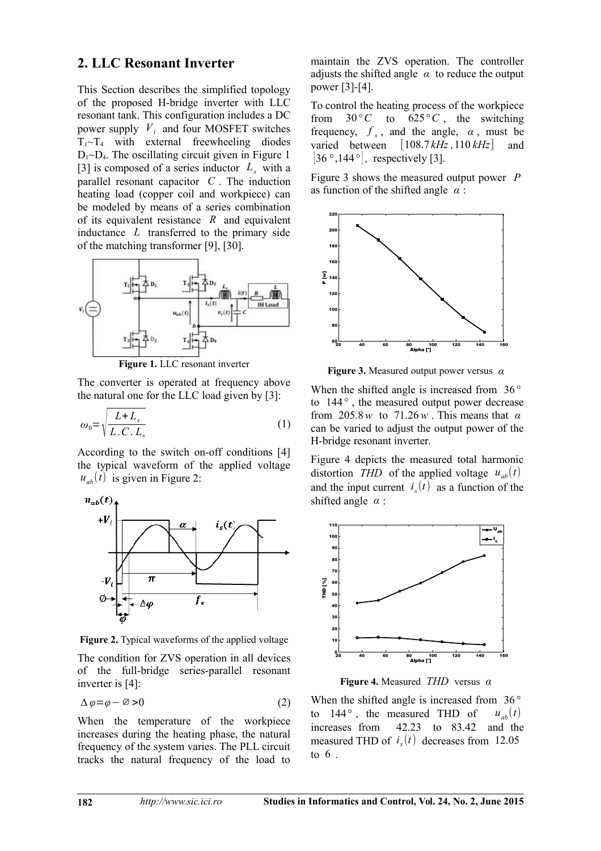## **2. LLC Resonant Inverter**

This Section describes the simplified topology of the proposed H-bridge inverter with LLC resonant tank. This configuration includes a DC power supply  $V_i$  and four MOSFET switches  $T_1 \sim T_4$  with external freewheeling diodes  $D_1 \sim D_4$ . The oscillating circuit given in Figure 1 [3] is composed of a series inductor  $L<sub>s</sub>$  with a parallel resonant capacitor *C* . The induction heating load (copper coil and workpiece) can be modeled by means of a series combination of its equivalent resistance *R* and equivalent inductance *L* transferred to the primary side of the matching transformer [9], [30].



**Figure 1.** LLC resonant inverter

The converter is operated at frequency above the natural one for the LLC load given by [3]:

$$
\omega_0 = \sqrt{\frac{L + L_s}{L.C.L_s}}\tag{1}
$$

According to the switch on-off conditions [4] the typical waveform of the applied voltage  $u_{ab}(t)$  is given in Figure 2:



**Figure 2.** Typical waveforms of the applied voltage

The condition for ZVS operation in all devices of the full-bridge series-parallel resonant inverter is [4]:

$$
\Delta \varphi = \varphi - \varnothing > 0 \tag{2}
$$

When the temperature of the workpiece increases during the heating phase, the natural frequency of the system varies. The PLL circuit tracks the natural frequency of the load to

maintain the ZVS operation. The controller adjusts the shifted angle  $\alpha$  to reduce the output power [3]-[4].

To control the heating process of the workpiece from  $30^{\circ}$ C to  $625^{\circ}$ C, the switching frequency,  $f_s$ , and the angle,  $\alpha$ , must be varied between [108.7 *kHz ,*110 *kHz*] and  $[36^\circ, 144^\circ]$ , respectively [3].

Figure 3 shows the measured output power *P* as function of the shifted angle *α* :



**Figure 3.** Measured output power versus *α*

When the shifted angle is increased from 36*°* to 144*°* , the measured output power decrease from 205.8*w* to 71.26*w* . This means that *α* can be varied to adjust the output power of the H-bridge resonant inverter.

Figure 4 depicts the measured total harmonic distortion *THD* of the applied voltage  $u_{ab}(t)$ and the input current  $i<sub>s</sub>(t)$  as a function of the shifted angle *α* :



**Figure 4.** Measured *THD* versus *α*

When the shifted angle is increased from 36*°* to 144<sup>°</sup>, the measured THD of  $u_{ab}(t)$  increases from 42.23 to 83.42 and the 42.23 to 83.42 and the measured THD of  $i<sub>s</sub>(t)$  decreases from 12.05 to 6 .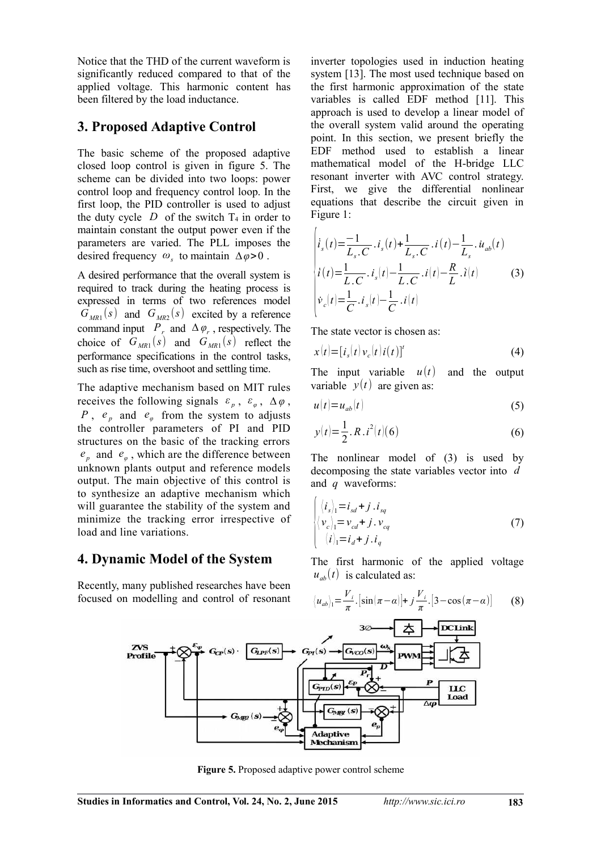Notice that the THD of the current waveform is significantly reduced compared to that of the applied voltage. This harmonic content has been filtered by the load inductance.

## **3. Proposed Adaptive Control**

The basic scheme of the proposed adaptive closed loop control is given in figure 5. The scheme can be divided into two loops: power control loop and frequency control loop. In the first loop, the PID controller is used to adjust the duty cycle  $D$  of the switch  $T_4$  in order to maintain constant the output power even if the parameters are varied. The PLL imposes the desired frequency *ω<sup>s</sup>* to maintain *∆φ*>0 .

A desired performance that the overall system is required to track during the heating process is expressed in terms of two references model  $G_{MR1}(s)$  and  $G_{MR2}(s)$  excited by a reference command input  $P_r$  and  $\Delta \varphi_r$ , respectively. The choice of  $G_{MR1}(s)$  and  $G_{MR1}(s)$  reflect the performance specifications in the control tasks, such as rise time, overshoot and settling time.

The adaptive mechanism based on MIT rules receives the following signals  $\varepsilon_p$ ,  $\varepsilon_\varphi$ ,  $\Delta\varphi$ , *P*,  $e_p$  and  $e_q$  from the system to adjusts the controller parameters of PI and PID structures on the basic of the tracking errors  $e_p$  and  $e_q$ , which are the difference between unknown plants output and reference models output. The main objective of this control is to synthesize an adaptive mechanism which will guarantee the stability of the system and minimize the tracking error irrespective of load and line variations.

## **4. Dynamic Model of the System**

Recently, many published researches have been focused on modelling and control of resonant inverter topologies used in induction heating system [13]. The most used technique based on the first harmonic approximation of the state variables is called EDF method [11]. This approach is used to develop a linear model of the overall system valid around the operating point. In this section, we present briefly the EDF method used to establish a linear mathematical model of the H-bridge LLC resonant inverter with AVC control strategy. First, we give the differential nonlinear equations that describe the circuit given in Figure 1:

$$
\begin{vmatrix} \dot{i}_s(t) = \frac{-1}{L_s \cdot C} \cdot i_s(t) + \frac{1}{L_s \cdot C} \cdot i(t) - \frac{1}{L_s} \cdot \dot{u}_{ab}(t) \\ \dot{i}(t) = \frac{1}{L \cdot C} \cdot i_s(t) - \frac{1}{L \cdot C} \cdot i(t) - \frac{R}{L} \cdot i(t) \\ \dot{v}_c(t) = \frac{1}{C} \cdot i_s(t) - \frac{1}{C} \cdot i(t) \end{vmatrix} \tag{3}
$$

The state vector is chosen as:

 $\mathcal{L}$ 

$$
x(t) = [i_s(t)v_c(t)i(t)]^t
$$
 (4)

The input variable  $u(t)$  and the output variable  $y(t)$  are given as:

$$
u(t) = u_{ab}(t) \tag{5}
$$

$$
y(t) = \frac{1}{2} R \cdot i^2(t) \tag{6}
$$

The nonlinear model of (3) is used by decomposing the state variables vector into *d* and *q* waveforms:

$$
\begin{cases}\n\langle i_s \rangle_1 = i_{sd} + j \cdot i_{sq} \\
\langle v_c \rangle_1 = v_{cd} + j \cdot v_{cq} \\
\langle i \rangle_1 = i_d + j \cdot i_q\n\end{cases}
$$
\n(7)

The first harmonic of the applied voltage  $u_{ab}(t)$  is calculated as:

$$
\langle u_{ab}\rangle_1 = \frac{V_i}{\pi} \cdot \left[\sin(\pi - \alpha)\right] + j\frac{V_i}{\pi} \cdot \left[3 - \cos(\pi - \alpha)\right] \tag{8}
$$



**Figure 5.** Proposed adaptive power control scheme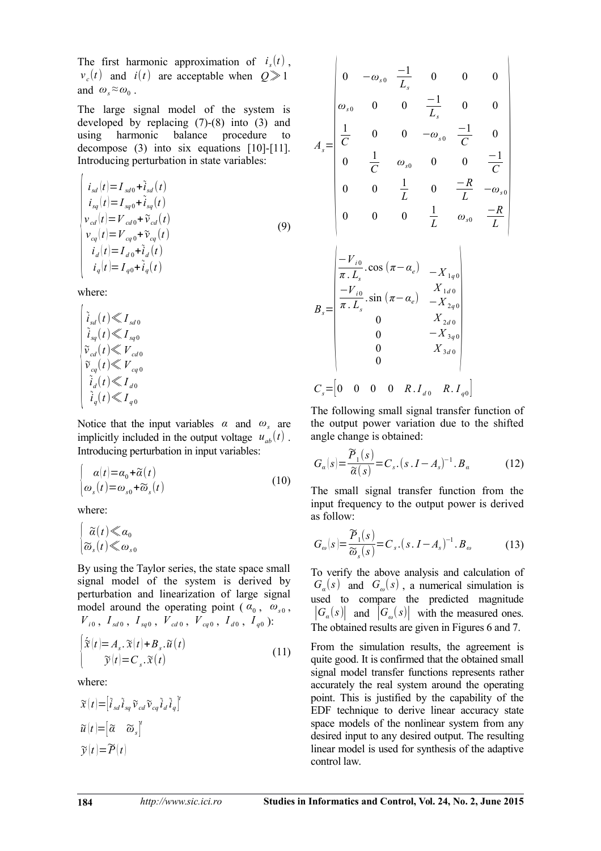The first harmonic approximation of  $i<sub>s</sub>(t)$ ,  $v_c(t)$  and *i*(*t*) are acceptable when  $Q \gg 1$ and  $\omega_s \approx \omega_0$ .

The large signal model of the system is developed by replacing (7)-(8) into (3) and using harmonic balance procedure to decompose (3) into six equations [10]-[11]. Introducing perturbation in state variables:

$$
\begin{cases}\ni_{sd}(t) = I_{sd0} + \tilde{i}_{sd}(t) \\
i_{sq}(t) = I_{sq0} + \tilde{i}_{sq}(t) \\
v_{cd}(t) = V_{cd0} + \tilde{v}_{cd}(t) \\
v_{eq}(t) = V_{eq0} + \tilde{v}_{eq}(t) \\
i_d(t) = I_{d0} + \tilde{i}_d(t) \\
i_q(t) = I_{q0} + \tilde{i}_d(t) \\
i_q(t) = I_{q0} + \tilde{i}_q(t)\n\end{cases}
$$
\n(9)

where:

$$
\begin{cases} \n\widetilde{i}_{sd}(t) \ll I_{sd0} \\
\widetilde{i}_{sq}(t) \ll I_{sq0} \\
\widetilde{v}_{cd}(t) \ll V_{cd0} \\
\widetilde{v}_{cq}(t) \ll V_{cq0} \\
\widetilde{i}_d(t) \ll I_{d0} \\
\widetilde{i}_q(t) \ll I_{q0}\n\end{cases}
$$

Notice that the input variables  $\alpha$  and  $\omega$ <sub>s</sub> are implicitly included in the output voltage  $u_{ab}(t)$ . Introducing perturbation in input variables:

$$
\begin{cases}\n\alpha(t) = \alpha_0 + \widetilde{\alpha}(t) \\
\omega_s(t) = \omega_{s0} + \widetilde{\omega}_s(t)\n\end{cases}
$$
\n(10)

where:

 $\epsilon$ 

$$
\begin{cases} \widetilde{\alpha}(t) \ll a_0 \\ \widetilde{\omega}_s(t) \ll \omega_{s0} \end{cases}
$$

By using the Taylor series, the state space small signal model of the system is derived by perturbation and linearization of large signal model around the operating point ( $\alpha_0$ ,  $\omega_{s0}$ ,  $V_{i0}$ ,  $I_{sd0}$ ,  $I_{sq0}$ ,  $V_{cd0}$ ,  $V_{cq0}$ ,  $I_{d0}$ ,  $I_{q0}$ ):

$$
\begin{cases} \tilde{\mathbf{x}}(t) = A_s \cdot \tilde{\mathbf{x}}(t) + B_s \cdot \tilde{\mathbf{u}}(t) \\ \tilde{\mathbf{y}}(t) = C_s \cdot \tilde{\mathbf{x}}(t) \end{cases}
$$
\n(11)

where:

$$
\widetilde{\mathbf{x}}(t) = [\widetilde{i}_{sd} \widetilde{i}_{sq} \widetilde{v}_{cd} \widetilde{v}_{cq} \widetilde{i}_d \widetilde{i}_q]'
$$

$$
\widetilde{u}(t) = [\widetilde{\alpha} \ \ \widetilde{\omega}_s]'
$$

$$
\widetilde{y}(t) = \widetilde{P}(t)
$$

$$
A_{s} = \begin{vmatrix}\n0 & -\omega_{s0} & \frac{-1}{L_{s}} & 0 & 0 & 0 \\
\omega_{s0} & 0 & 0 & \frac{-1}{L_{s}} & 0 & 0 \\
\frac{1}{C} & 0 & 0 & -\omega_{s0} & \frac{-1}{C} & 0 \\
0 & \frac{1}{C} & \omega_{s0} & 0 & 0 & \frac{-1}{C} \\
0 & 0 & \frac{1}{L} & 0 & \frac{-R}{L} & -\omega_{s0} \\
0 & 0 & 0 & \frac{1}{L} & \omega_{s0} & \frac{-R}{L} \\
\frac{-V_{i0}}{\pi \cdot L_{s}} \cdot \cos(\pi - \alpha_{e}) & -X_{1q0} \\
\frac{-V_{i0}}{\pi \cdot L_{s}} \sin(\pi - \alpha_{e}) & -X_{2q0} \\
0 & X_{2d0} \\
0 & -X_{3q0} \\
0 & -X_{3d0} \\
0 & 0\n\end{vmatrix}
$$
  

$$
C_{s} = \begin{bmatrix}\n0 & 0 & 0 & 0 & R \cdot I_{d0} & R \cdot I_{q0}\n\end{bmatrix}
$$

The following small signal transfer function of the output power variation due to the shifted angle change is obtained:

$$
G_{\alpha}(s) = \frac{\widetilde{P}_1(s)}{\widetilde{\alpha}(s)} = C_s \cdot (s \cdot I - A_s)^{-1} \cdot B_{\alpha}
$$
 (12)

The small signal transfer function from the input frequency to the output power is derived as follow:

$$
G_{\omega}(s) = \frac{\widetilde{P}_1(s)}{\widetilde{\omega}_s(s)} = C_s \cdot (s \cdot I - A_s)^{-1} \cdot B_{\omega}
$$
 (13)

To verify the above analysis and calculation of  $G_{\alpha}(s)$  and  $G_{\omega}(s)$ , a numerical simulation is used to compare the predicted magnitude  $|G_a(s)|$  and  $|G_{\omega}(s)|$  with the measured ones. The obtained results are given in Figures 6 and 7.

From the simulation results, the agreement is quite good. It is confirmed that the obtained small signal model transfer functions represents rather accurately the real system around the operating point. This is justified by the capability of the EDF technique to derive linear accuracy state space models of the nonlinear system from any desired input to any desired output. The resulting linear model is used for synthesis of the adaptive control law.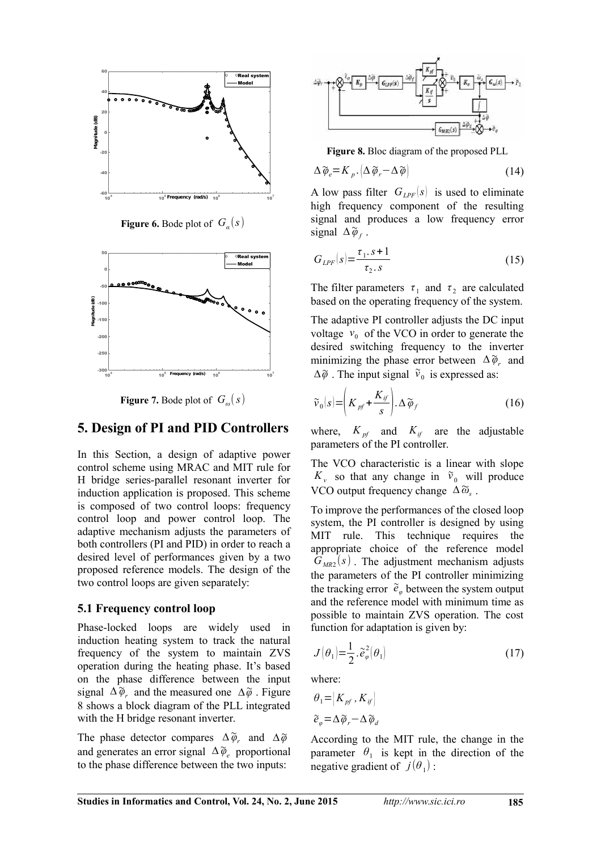

**Figure 6.** Bode plot of  $G_a(s)$ 



**Figure 7.** Bode plot of  $G_{\omega}(s)$ 

#### **5. Design of PI and PID Controllers**

In this Section, a design of adaptive power control scheme using MRAC and MIT rule for H bridge series-parallel resonant inverter for induction application is proposed. This scheme is composed of two control loops: frequency control loop and power control loop. The adaptive mechanism adjusts the parameters of both controllers (PI and PID) in order to reach a desired level of performances given by a two proposed reference models. The design of the two control loops are given separately:

#### **5.1 Frequency control loop**

Phase-locked loops are widely used in induction heating system to track the natural frequency of the system to maintain ZVS operation during the heating phase. It's based on the phase difference between the input signal  $\Delta\tilde{\varphi}$  and the measured one  $\Delta\tilde{\varphi}$  . Figure 8 shows a block diagram of the PLL integrated with the H bridge resonant inverter.

The phase detector compares  $\Delta\tilde{\varphi}$ <sub>*r*</sub> and  $\Delta\tilde{\varphi}$ and generates an error signal *∆*~*φ<sup>e</sup>* proportional to the phase difference between the two inputs:



**Figure 8.** Bloc diagram of the proposed PLL

$$
\Delta \widetilde{\varphi}_e = K_p \cdot \left( \Delta \widetilde{\varphi}_r - \Delta \widetilde{\varphi} \right) \tag{14}
$$

A low pass filter  $G_{LPF}(s)$  is used to eliminate high frequency component of the resulting signal and produces a low frequency error signal  $\Delta\tilde{\varphi}_f$ .

$$
G_{LPF}(s) = \frac{\tau_1 \cdot s + 1}{\tau_2 \cdot s} \tag{15}
$$

The filter parameters  $\tau_1$  and  $\tau_2$  are calculated based on the operating frequency of the system.

The adaptive PI controller adjusts the DC input voltage  $v_0$  of the VCO in order to generate the desired switching frequency to the inverter minimizing the phase error between  $\Delta\tilde{\varphi}_r$  and  $\Delta \tilde{\varphi}$ . The input signal  $\tilde{v}_0$  is expressed as:

$$
\widetilde{\nu}_0(s) = \left(K_{pf} + \frac{K_{if}}{s}\right) \Delta \widetilde{\varphi}_f \tag{16}
$$

where,  $K_{pf}$  and  $K_{if}$  are the adjustable parameters of the PI controller.

The VCO characteristic is a linear with slope  $K_v$  so that any change in  $\tilde{v}_0$  will produce VCO output frequency change *∆*~*ω<sup>s</sup>* .

To improve the performances of the closed loop system, the PI controller is designed by using MIT rule. This technique requires the appropriate choice of the reference model  $G_{MR2}(s)$ . The adjustment mechanism adjusts the parameters of the PI controller minimizing the tracking error  $\tilde{e}_{\varphi}$  between the system output and the reference model with minimum time as possible to maintain ZVS operation. The cost function for adaptation is given by:

$$
J(\theta_1) = \frac{1}{2} \cdot \tilde{e}_{\varphi}^2(\theta_1)
$$
 (17)

where:

$$
\theta_1 = [K_{pf}, K_{if}]
$$
  

$$
\tilde{e}_\varphi = \Delta \tilde{\varphi}_r - \Delta \tilde{\varphi}_d
$$

According to the MIT rule, the change in the parameter  $\theta_1$  is kept in the direction of the negative gradient of  $j(\theta_1)$ :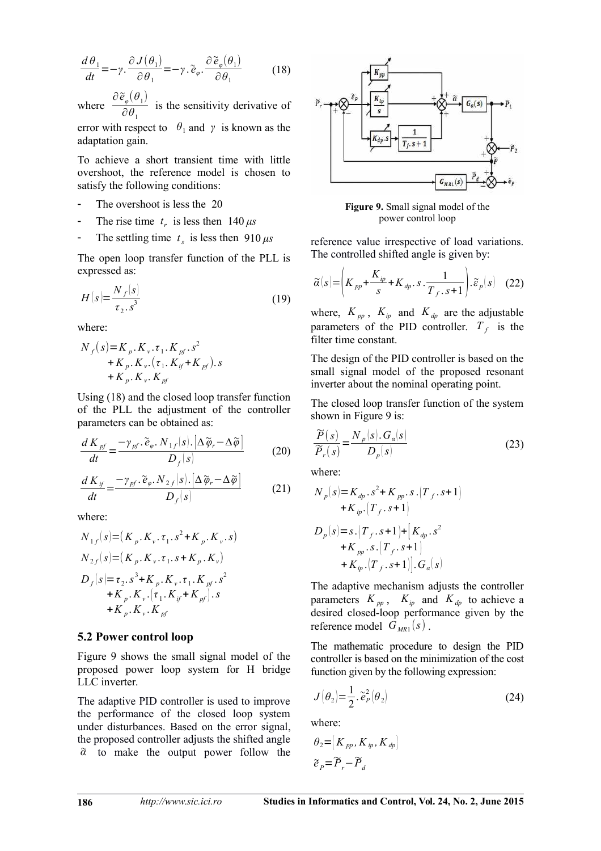$$
\frac{d\theta_1}{dt} = -\gamma \cdot \frac{\partial J(\theta_1)}{\partial \theta_1} = -\gamma \cdot \tilde{e}_{\varphi} \cdot \frac{\partial \tilde{e}_{\varphi}(\theta_1)}{\partial \theta_1}
$$
(18)

where  $\frac{\partial \tilde{e}_{\varphi}(\theta_1)}{\partial \theta_1}$  $\frac{\partial \varphi}{\partial \theta_1}$  is the sensitivity derivative of error with respect to  $\theta_1$  and  $\gamma$  is known as the adaptation gain.

To achieve a short transient time with little overshoot, the reference model is chosen to satisfy the following conditions:

- The overshoot is less the 20
- The rise time  $t_r$  is less then  $140 \,\mu s$
- The settling time  $t_s$  is less then  $910 \mu s$

The open loop transfer function of the PLL is expressed as:

$$
H(s) = \frac{N_f(s)}{\tau_2 \cdot s^3} \tag{19}
$$

where:

$$
N_{f}(s) = K_{p}.K_{v}.\tau_{1}.K_{pf}.s^{2}
$$
  
+ K\_{p}.K\_{v}.(\tau\_{1}.K\_{if}+K\_{pf}).s  
+ K\_{p}.K\_{v}.K\_{pf}

Using (18) and the closed loop transfer function of the PLL the adjustment of the controller parameters can be obtained as:

$$
\frac{d K_{pf}}{dt} = \frac{-\gamma_{pf} \cdot \widetilde{e}_{\varphi} \cdot N_{1f}(s) \cdot \left[\Delta \widetilde{\varphi}_r - \Delta \widetilde{\varphi}\right]}{D_f(s)}
$$
(20)

$$
\frac{d K_{if}}{dt} = \frac{-\gamma_{pf} \cdot \tilde{e}_{\varphi} \cdot N_{2f}(s) \cdot \left[\Delta \tilde{\varphi}_r - \Delta \tilde{\varphi}\right]}{D_f(s)}
$$
(21)

where:

$$
N_{1f}(s) = (K_p.K_v.\tau_1.s^2 + K_p.K_v.s)
$$
  
\n
$$
N_{2f}(s) = (K_p.K_v.\tau_1.s + K_p.K_v)
$$
  
\n
$$
D_f(s) = \tau_2.s^3 + K_p.K_v.\tau_1.K_{pf}.s^2
$$
  
\n
$$
+ K_p.K_v.(\tau_1.K_{if} + K_{pf}).s
$$
  
\n
$$
+ K_p.K_v.K_{pf}
$$

#### **5.2 Power control loop**

Figure 9 shows the small signal model of the proposed power loop system for H bridge LLC inverter.

The adaptive PID controller is used to improve the performance of the closed loop system under disturbances. Based on the error signal, the proposed controller adjusts the shifted angle  $\alpha$  to make the output power follow the



**Figure 9.** Small signal model of the power control loop

reference value irrespective of load variations. The controlled shifted angle is given by:

$$
\widetilde{\alpha}(s) = \left(K_{pp} + \frac{K_{ip}}{s} + K_{dp} \cdot s \cdot \frac{1}{T_f \cdot s + 1}\right) \cdot \widetilde{\varepsilon}_p(s) \quad (22)
$$

where,  $K_{pp}$ ,  $K_{ip}$  and  $K_{dp}$  are the adjustable parameters of the PID controller.  $T_f$  is the filter time constant.

The design of the PID controller is based on the small signal model of the proposed resonant inverter about the nominal operating point.

The closed loop transfer function of the system shown in Figure 9 is:

$$
\frac{\widetilde{P}(s)}{\widetilde{P}_r(s)} = \frac{N_p(s) \cdot G_a(s)}{D_p(s)}
$$
\n(23)

where:

$$
N_p(s) = K_{dp}.s^2 + K_{pp}.s.(T_f.s+1)
$$
  
+ K\_{ip}.(T\_f.s+1)  

$$
D_p(s) = s.(T_f.s+1) + [K_{dp}.s^2
$$
  
+ K\_{pp}.s.(T\_f.s+1)  
+ K\_{ip}.(T\_f.s+1)].G\_a(s)

The adaptive mechanism adjusts the controller parameters  $K_{pp}$ ,  $K_{ip}$  and  $K_{dp}$  to achieve a desired closed-loop performance given by the reference model  $G_{MR1}(s)$ .

The mathematic procedure to design the PID controller is based on the minimization of the cost function given by the following expression:

$$
J(\theta_2) = \frac{1}{2} \cdot \tilde{e}_P^2(\theta_2)
$$
 (24)

where:

$$
\theta_2 = [K_{pp}, K_{ip}, K_{dp}]
$$
  

$$
\tilde{e}_p = \tilde{P}_r - \tilde{P}_d
$$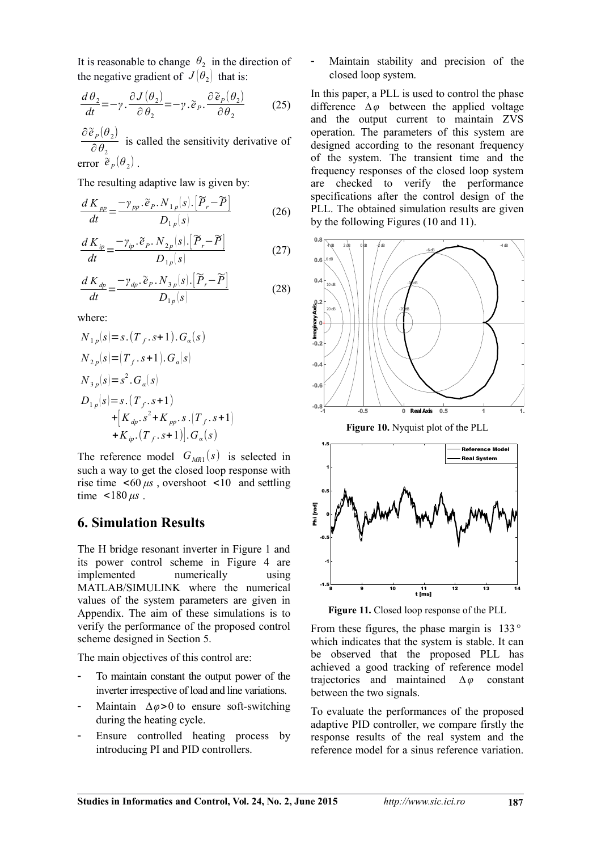It is reasonable to change  $\theta_2$  in the direction of the negative gradient of  $J(\theta_2)$  that is:

$$
\frac{d\theta_2}{dt} = -\gamma \cdot \frac{\partial J(\theta_2)}{\partial \theta_2} = -\gamma \cdot \tilde{e}_P \cdot \frac{\partial \tilde{e}_P(\theta_2)}{\partial \theta_2}
$$
 (25)

 $\partial \, {\widetilde e}_{\,P}(\theta_{\,2})$  $\frac{f(x)}{\partial \theta_2}$  is called the sensitivity derivative of  $error \; \tilde{e}_P(\theta_2)$ .

The resulting adaptive law is given by:

$$
\frac{d K_{pp}}{dt} = \frac{-\gamma_{pp}.\tilde{e}_p.N_{1p}(s).[\tilde{P}_r - \tilde{P}]}{D_{1p}(s)}
$$
(26)

$$
\frac{d K_{ip}}{dt} = \frac{-\gamma_{ip} \cdot \tilde{e}_P \cdot N_{2p}(s) \cdot \left[\widetilde{P}_r - \widetilde{P}\right]}{D_{1p}(s)}
$$
(27)

$$
\frac{d K_{dp}}{dt} = \frac{-\gamma_{dp} \cdot \tilde{e}_P \cdot N_{3p}(s) \cdot \left[\tilde{P}_r - \tilde{P}\right]}{D_{1p}(s)}
$$
(28)

where:

$$
N_{1p}(s) = s \cdot (T_f \cdot s + 1) \cdot G_{\alpha}(s)
$$
  
\n
$$
N_{2p}(s) = (T_f \cdot s + 1) \cdot G_{\alpha}(s)
$$
  
\n
$$
N_{3p}(s) = s^2 \cdot G_{\alpha}(s)
$$
  
\n
$$
D_{1p}(s) = s \cdot (T_f \cdot s + 1)
$$
  
\n
$$
+ [K_{dp} \cdot s^2 + K_{pp} \cdot s \cdot (T_f \cdot s + 1)]
$$
  
\n
$$
+ K_{ip} \cdot (T_f \cdot s + 1)]. G_{\alpha}(s)
$$

The reference model  $G_{MR1}(s)$  is selected in such a way to get the closed loop response with rise time  $\lt 60 \mu s$ , overshoot  $\lt 10$  and settling time  $\lt 180 \mu s$ .

#### **6. Simulation Results**

The H bridge resonant inverter in Figure 1 and its power control scheme in Figure 4 are implemented numerically using MATLAB/SIMULINK where the numerical values of the system parameters are given in Appendix. The aim of these simulations is to verify the performance of the proposed control scheme designed in Section 5.

The main objectives of this control are:

- To maintain constant the output power of the inverter irrespective of load and line variations.
- Maintain *∆φ*>0 to ensure soft-switching during the heating cycle.
- Ensure controlled heating process by introducing PI and PID controllers.

Maintain stability and precision of the closed loop system.

In this paper, a PLL is used to control the phase difference *∆φ* between the applied voltage and the output current to maintain ZVS operation. The parameters of this system are designed according to the resonant frequency of the system. The transient time and the frequency responses of the closed loop system are checked to verify the performance specifications after the control design of the PLL. The obtained simulation results are given by the following Figures (10 and 11).



**Figure 11.** Closed loop response of the PLL

From these figures, the phase margin is 133*°* which indicates that the system is stable. It can be observed that the proposed PLL has achieved a good tracking of reference model trajectories and maintained *∆φ* constant between the two signals.

To evaluate the performances of the proposed adaptive PID controller, we compare firstly the response results of the real system and the reference model for a sinus reference variation.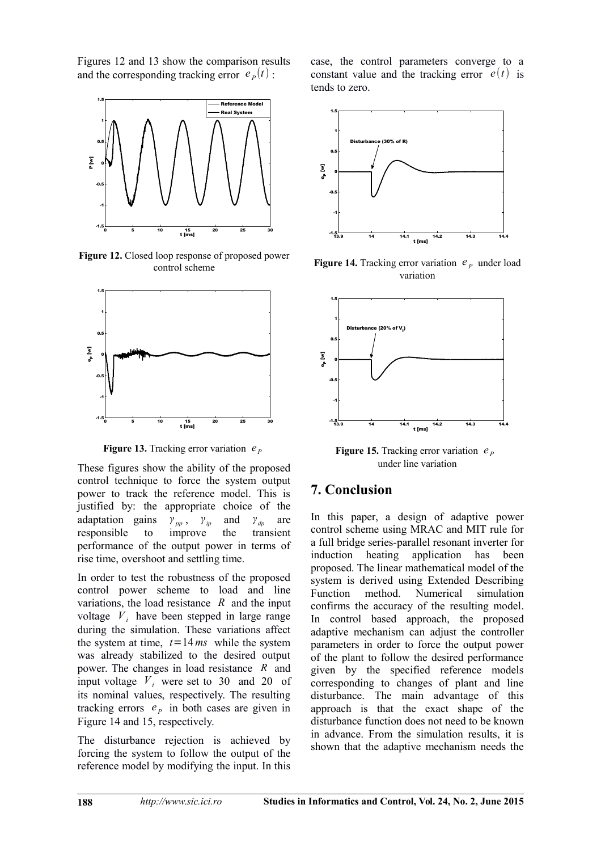Figures 12 and 13 show the comparison results and the corresponding tracking error  $e_p(t)$ :



Figure 12. Closed loop response of proposed power control scheme



**Figure 13.** Tracking error variation  $e_p$ 

These figures show the ability of the proposed control technique to force the system output power to track the reference model. This is justified by: the appropriate choice of the adaptation gains  $\gamma_{pp}$ ,  $\gamma_{ip}$  and  $\gamma_{dp}$  are responsible to improve the transient performance of the output power in terms of rise time, overshoot and settling time.

In order to test the robustness of the proposed control power scheme to load and line variations, the load resistance *R* and the input voltage  $V_i$  have been stepped in large range during the simulation. These variations affect the system at time,  $t = 14$  *ms* while the system was already stabilized to the desired output power. The changes in load resistance *R* and input voltage  $V_i$  were set to 30 and 20 of its nominal values, respectively. The resulting tracking errors  $e_p$  in both cases are given in Figure 14 and 15, respectively.

The disturbance rejection is achieved by forcing the system to follow the output of the reference model by modifying the input. In this

case, the control parameters converge to a constant value and the tracking error  $e(t)$  is tends to zero.



**Figure 14.** Tracking error variation  $e_p$  under load variation



**Figure 15.** Tracking error variation  $e_p$ under line variation

## **7. Conclusion**

In this paper, a design of adaptive power control scheme using MRAC and MIT rule for a full bridge series-parallel resonant inverter for induction heating application has been proposed. The linear mathematical model of the system is derived using Extended Describing Function method. Numerical simulation confirms the accuracy of the resulting model. In control based approach, the proposed adaptive mechanism can adjust the controller parameters in order to force the output power of the plant to follow the desired performance given by the specified reference models corresponding to changes of plant and line disturbance. The main advantage of this approach is that the exact shape of the disturbance function does not need to be known in advance. From the simulation results, it is shown that the adaptive mechanism needs the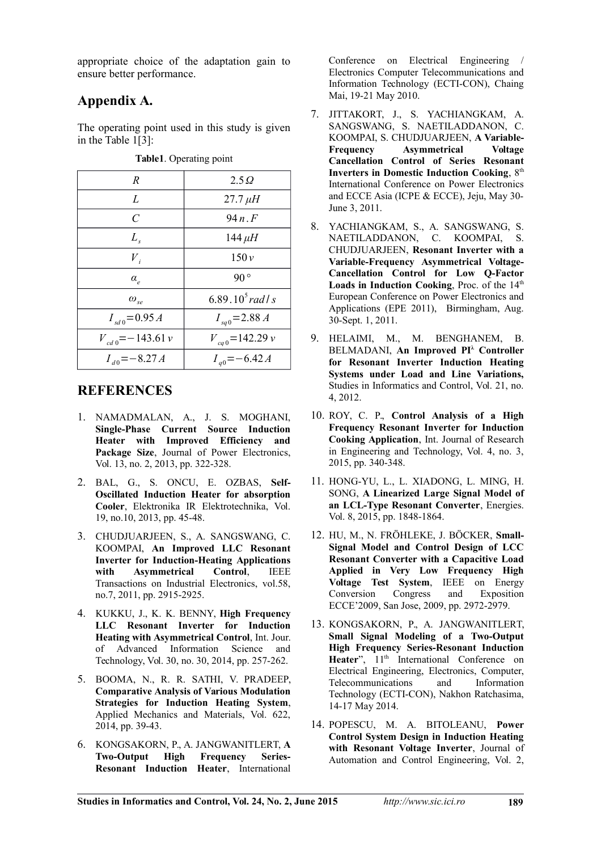appropriate choice of the adaptation gain to ensure better performance.

# **Appendix A.**

The operating point used in this study is given in the Table 1[3]:

| R                        | $2.5\Omega$          |
|--------------------------|----------------------|
| L                        | $27.7 \mu H$         |
| C                        | $94n$ F              |
| $L_{\rm s}$              | $144 \mu H$          |
| $V_{i}$                  | 150v                 |
| $\alpha_e$               | $90^{\circ}$         |
| $\omega_{se}$            | 6.89.10 $^5$ rad / s |
| $I_{sd0} = 0.95 A$       | $I_{sa0} = 2.88 A$   |
| $V_{cd,0} = -143.61 \nu$ | $V_{cq}$ = 142.29 v  |
| $I_{d0} = -8.27 A$       | $I_{a0} = -6.42 A$   |

**Table1**. Operating point

## **REFERENCES**

- 1. NAMADMALAN, A., J. S. MOGHANI, **Single-Phase Current Source Induction Heater with Improved Efficiency and Package Size**, Journal of Power Electronics, Vol. 13, no. 2, 2013, pp. 322-328.
- 2. BAL, G., S. ONCU, E. OZBAS, **Self-Oscillated Induction Heater for absorption Cooler**, Elektronika IR Elektrotechnika, Vol. 19, no.10, 2013, pp. 45-48.
- 3. CHUDJUARJEEN, S., A. SANGSWANG, C. KOOMPAI, **An Improved LLC Resonant Inverter for Induction-Heating Applications with Asymmetrical Control**, IEEE Transactions on Industrial Electronics, vol.58, no.7, 2011, pp. 2915-2925.
- 4. KUKKU, J., K. K. BENNY, **High Frequency LLC Resonant Inverter for Induction Heating with Asymmetrical Control**, Int. Jour. of Advanced Information Science and Technology, Vol. 30, no. 30, 2014, pp. 257-262.
- 5. BOOMA, N., R. R. SATHI, V. PRADEEP, **Comparative Analysis of Various Modulation Strategies for Induction Heating System**, Applied Mechanics and Materials, Vol. 622, 2014, pp. 39-43.
- 6. KONGSAKORN, P., A. JANGWANITLERT, **A Two-Output High Frequency Series-Resonant Induction Heater**, International

Conference on Electrical Engineering / Electronics Computer Telecommunications and Information Technology (ECTI-CON), Chaing Mai, 19-21 May 2010.

- 7. JITTAKORT, J., S. YACHIANGKAM, A. SANGSWANG, S. NAETILADDANON, C. KOOMPAI, S. CHUDJUARJEEN, **A Variable-Frequency Asymmetrical Voltage Cancellation Control of Series Resonant Inverters in Domestic Induction Cooking, 8th** International Conference on Power Electronics and ECCE Asia (ICPE & ECCE), Jeju, May 30- June 3, 2011.
- 8. YACHIANGKAM, S., A. SANGSWANG, S. NAETILADDANON, C. KOOMPAI, S. CHUDJUARJEEN, **Resonant Inverter with a Variable-Frequency Asymmetrical Voltage-Cancellation Control for Low Q-Factor Loads in Induction Cooking**, Proc. of the 14<sup>th</sup> European Conference on Power Electronics and Applications (EPE 2011), Birmingham, Aug. 30-Sept. 1, 2011.
- 9. [HELAIMI,](mailto:halimi1976@yahoo.fr) M., M. BENGHANEM, B. BELMADANI, **An Improved PI<sup>λ</sup> Controller for Resonant Inverter Induction Heating Systems under Load and Line Variations,** Studies in Informatics and Control, Vol. 21, no. 4, 2012.
- 10. ROY, C. P., **Control Analysis of a High Frequency Resonant Inverter for Induction Cooking Application**, Int. Journal of Research in Engineering and Technology, Vol. 4, no. 3, 2015, pp. 340-348.
- 11. HONG-YU, L., L. XIADONG, L. MING, H. SONG, **A Linearized Large Signal Model of an LCL-Type Resonant Converter**, Energies. Vol. 8, 2015, pp. 1848-1864.
- 12. HU, M., N. FRÖHLEKE, J. BÖCKER, **Small-Signal Model and Control Design of LCC Resonant Converter with a Capacitive Load Applied in Very Low Frequency High Voltage Test System**, IEEE on Energy Conversion Congress and Exposition ECCE'2009, San Jose, 2009, pp. 2972-2979.
- 13. KONGSAKORN, P., A. JANGWANITLERT, **Small Signal Modeling of a Two-Output High Frequency Series-Resonant Induction** Heater", 11<sup>th</sup> International Conference on Electrical Engineering, Electronics, Computer, Telecommunications and Technology (ECTI-CON), Nakhon Ratchasima, 14-17 May 2014.
- 14. POPESCU, M. A. BITOLEANU, **Power Control System Design in Induction Heating with Resonant Voltage Inverter**, Journal of Automation and Control Engineering, Vol. 2,